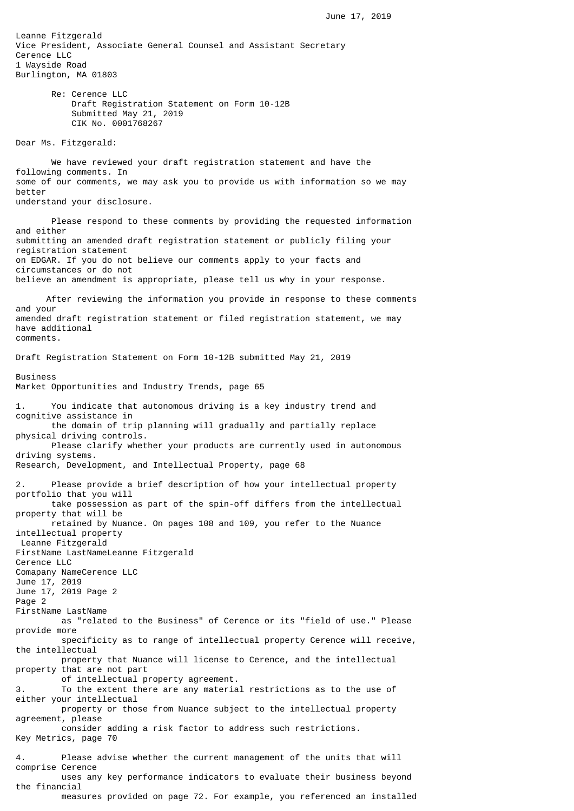Leanne Fitzgerald Vice President, Associate General Counsel and Assistant Secretary Cerence LLC 1 Wayside Road Burlington, MA 01803 Re: Cerence LLC Draft Registration Statement on Form 10-12B Submitted May 21, 2019 CIK No. 0001768267 Dear Ms. Fitzgerald: We have reviewed your draft registration statement and have the following comments. In some of our comments, we may ask you to provide us with information so we may better understand your disclosure. Please respond to these comments by providing the requested information and either submitting an amended draft registration statement or publicly filing your registration statement on EDGAR. If you do not believe our comments apply to your facts and circumstances or do not believe an amendment is appropriate, please tell us why in your response. After reviewing the information you provide in response to these comments and your amended draft registration statement or filed registration statement, we may have additional comments. Draft Registration Statement on Form 10-12B submitted May 21, 2019 Business Market Opportunities and Industry Trends, page 65

1. You indicate that autonomous driving is a key industry trend and cognitive assistance in the domain of trip planning will gradually and partially replace physical driving controls. Please clarify whether your products are currently used in autonomous driving systems. Research, Development, and Intellectual Property, page 68 2. Please provide a brief description of how your intellectual property portfolio that you will take possession as part of the spin-off differs from the intellectual property that will be retained by Nuance. On pages 108 and 109, you refer to the Nuance intellectual property Leanne Fitzgerald FirstName LastNameLeanne Fitzgerald Cerence LLC Comapany NameCerence LLC June 17, 2019 June 17, 2019 Page 2 Page 2 FirstName LastName as "related to the Business" of Cerence or its "field of use." Please provide more specificity as to range of intellectual property Cerence will receive, the intellectual property that Nuance will license to Cerence, and the intellectual property that are not part of intellectual property agreement. 3. To the extent there are any material restrictions as to the use of either your intellectual property or those from Nuance subject to the intellectual property agreement, please consider adding a risk factor to address such restrictions. Key Metrics, page 70 4. Please advise whether the current management of the units that will comprise Cerence uses any key performance indicators to evaluate their business beyond the financial

measures provided on page 72. For example, you referenced an installed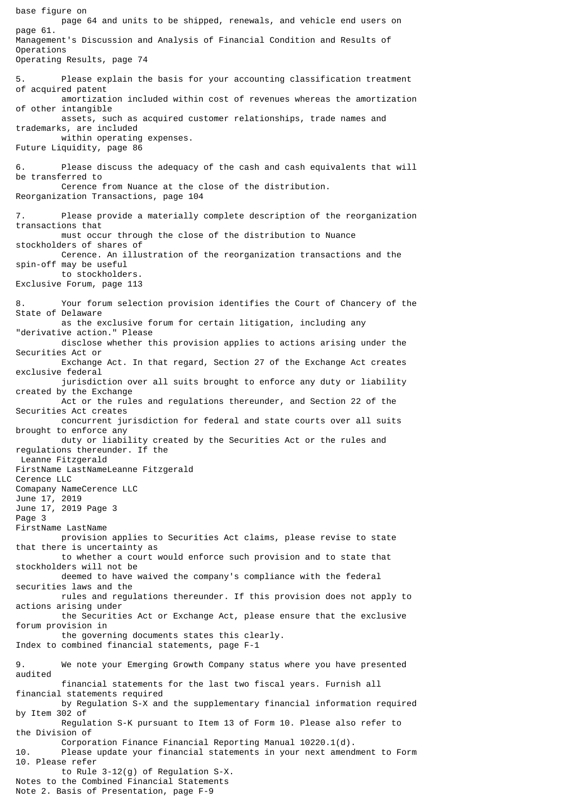base figure on page 64 and units to be shipped, renewals, and vehicle end users on page 61. Management's Discussion and Analysis of Financial Condition and Results of Operations Operating Results, page 74 5. Please explain the basis for your accounting classification treatment of acquired patent amortization included within cost of revenues whereas the amortization of other intangible assets, such as acquired customer relationships, trade names and trademarks, are included within operating expenses. Future Liquidity, page 86 6. Please discuss the adequacy of the cash and cash equivalents that will be transferred to Cerence from Nuance at the close of the distribution. Reorganization Transactions, page 104 Please provide a materially complete description of the reorganization transactions that must occur through the close of the distribution to Nuance stockholders of shares of Cerence. An illustration of the reorganization transactions and the spin-off may be useful to stockholders. Exclusive Forum, page 113 8. Your forum selection provision identifies the Court of Chancery of the State of Delaware as the exclusive forum for certain litigation, including any "derivative action." Please disclose whether this provision applies to actions arising under the Securities Act or Exchange Act. In that regard, Section 27 of the Exchange Act creates exclusive federal jurisdiction over all suits brought to enforce any duty or liability created by the Exchange Act or the rules and regulations thereunder, and Section 22 of the Securities Act creates concurrent jurisdiction for federal and state courts over all suits brought to enforce any duty or liability created by the Securities Act or the rules and regulations thereunder. If the Leanne Fitzgerald FirstName LastNameLeanne Fitzgerald Cerence LLC Comapany NameCerence LLC June 17, 2019 June 17, 2019 Page 3 Page 3 FirstName LastName provision applies to Securities Act claims, please revise to state that there is uncertainty as to whether a court would enforce such provision and to state that stockholders will not be deemed to have waived the company's compliance with the federal securities laws and the rules and regulations thereunder. If this provision does not apply to actions arising under the Securities Act or Exchange Act, please ensure that the exclusive forum provision in the governing documents states this clearly. Index to combined financial statements, page F-1 9. We note your Emerging Growth Company status where you have presented audited financial statements for the last two fiscal years. Furnish all financial statements required by Regulation S-X and the supplementary financial information required by Item 302 of Regulation S-K pursuant to Item 13 of Form 10. Please also refer to the Division of Corporation Finance Financial Reporting Manual 10220.1(d). Please update your financial statements in your next amendment to Form 10. Please refer to Rule 3-12(g) of Regulation S-X. Notes to the Combined Financial Statements Note 2. Basis of Presentation, page F-9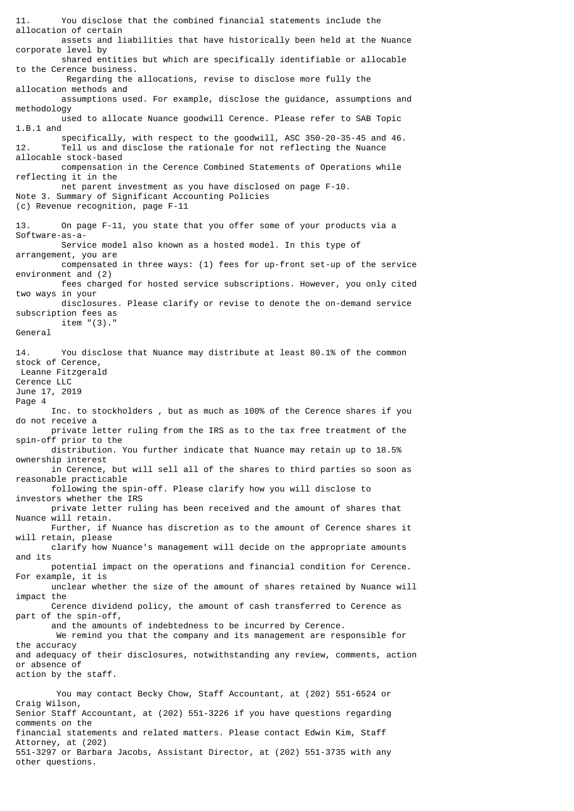11. You disclose that the combined financial statements include the allocation of certain assets and liabilities that have historically been held at the Nuance corporate level by shared entities but which are specifically identifiable or allocable to the Cerence business. Regarding the allocations, revise to disclose more fully the allocation methods and assumptions used. For example, disclose the guidance, assumptions and methodology used to allocate Nuance goodwill Cerence. Please refer to SAB Topic 1.B.1 and specifically, with respect to the goodwill, ASC 350-20-35-45 and 46. 12. Tell us and disclose the rationale for not reflecting the Nuance allocable stock-based compensation in the Cerence Combined Statements of Operations while reflecting it in the net parent investment as you have disclosed on page F-10. Note 3. Summary of Significant Accounting Policies (c) Revenue recognition, page F-11 13. On page F-11, you state that you offer some of your products via a Software-as-a- Service model also known as a hosted model. In this type of arrangement, you are compensated in three ways: (1) fees for up-front set-up of the service environment and (2) fees charged for hosted service subscriptions. However, you only cited two ways in your disclosures. Please clarify or revise to denote the on-demand service subscription fees as item "(3)." General 14. You disclose that Nuance may distribute at least 80.1% of the common stock of Cerence, Leanne Fitzgerald Cerence LLC June 17, 2019 Page 4 Inc. to stockholders , but as much as 100% of the Cerence shares if you do not receive a private letter ruling from the IRS as to the tax free treatment of the spin-off prior to the distribution. You further indicate that Nuance may retain up to 18.5% ownership interest in Cerence, but will sell all of the shares to third parties so soon as reasonable practicable following the spin-off. Please clarify how you will disclose to investors whether the IRS private letter ruling has been received and the amount of shares that Nuance will retain. Further, if Nuance has discretion as to the amount of Cerence shares it will retain, please clarify how Nuance's management will decide on the appropriate amounts and its potential impact on the operations and financial condition for Cerence. For example, it is unclear whether the size of the amount of shares retained by Nuance will impact the Cerence dividend policy, the amount of cash transferred to Cerence as part of the spin-off, and the amounts of indebtedness to be incurred by Cerence. We remind you that the company and its management are responsible for the accuracy and adequacy of their disclosures, notwithstanding any review, comments, action or absence of action by the staff. You may contact Becky Chow, Staff Accountant, at (202) 551-6524 or Craig Wilson, Senior Staff Accountant, at (202) 551-3226 if you have questions regarding comments on the financial statements and related matters. Please contact Edwin Kim, Staff

Attorney, at (202) 551-3297 or Barbara Jacobs, Assistant Director, at (202) 551-3735 with any other questions.